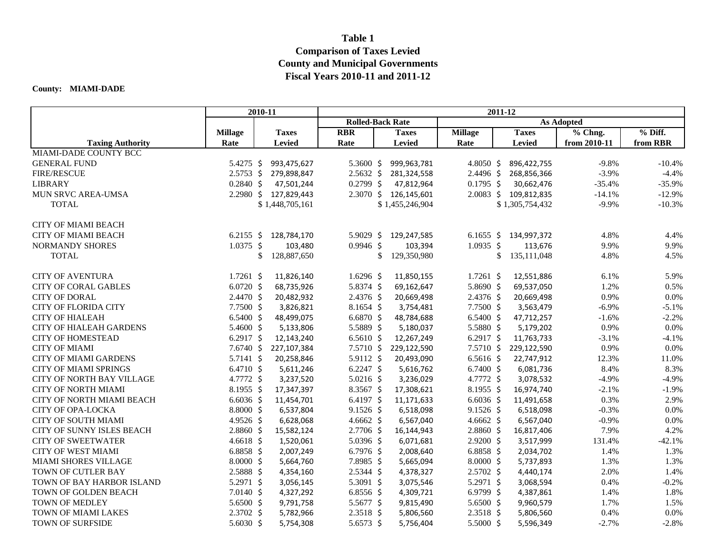## **Table 1 Comparison of Taxes Levied County and Municipal Governments Fiscal Years 2010-11 and 2011-12**

## **County: MIAMI-DADE**

|                                  | 2010-11              |    |                       | 2011-12                 |    |                       |                      |    |                       |              |           |
|----------------------------------|----------------------|----|-----------------------|-------------------------|----|-----------------------|----------------------|----|-----------------------|--------------|-----------|
|                                  |                      |    |                       | <b>Rolled-Back Rate</b> |    | <b>As Adopted</b>     |                      |    |                       |              |           |
|                                  | <b>Millage</b>       |    | <b>Taxes</b>          | <b>RBR</b>              |    | <b>Taxes</b>          | <b>Millage</b>       |    | <b>Taxes</b>          | % Chng.      | $%$ Diff. |
| <b>Taxing Authority</b>          | Rate                 |    | <b>Levied</b>         | Rate                    |    | <b>Levied</b>         | Rate                 |    | <b>Levied</b>         | from 2010-11 | from RBR  |
| MIAMI-DADE COUNTY BCC            |                      |    |                       |                         |    |                       |                      |    |                       |              |           |
| <b>GENERAL FUND</b>              | 5.4275 \$            |    | 993,475,627           | 5.3600 \$               |    | 999,963,781           | 4.8050 \$            |    | 896,422,755           | $-9.8\%$     | $-10.4%$  |
| <b>FIRE/RESCUE</b>               | $2.5753$ \$          |    | 279,898,847           | $2.5632 \; \text{S}$    |    | 281,324,558           | $2.4496 \text{ }$    |    | 268,856,366           | $-3.9\%$     | $-4.4%$   |
| <b>LIBRARY</b>                   | $0.2840 \; \simeq$   |    | 47,501,244            | $0.2799$ \$             |    | 47,812,964            | $0.1795$ \$          |    | 30,662,476            | $-35.4%$     | $-35.9%$  |
| MUN SRVC AREA-UMSA               |                      |    | 2.2980 \$ 127,829,443 |                         |    | 2.3070 \$ 126,145,601 |                      |    | 2.0083 \$ 109,812,835 | $-14.1%$     | $-12.9%$  |
| <b>TOTAL</b>                     |                      |    | \$1,448,705,161       |                         |    | \$1,455,246,904       |                      |    | \$1,305,754,432       | $-9.9\%$     | $-10.3%$  |
| <b>CITY OF MIAMI BEACH</b>       |                      |    |                       |                         |    |                       |                      |    |                       |              |           |
| <b>CITY OF MIAMI BEACH</b>       | $6.2155$ \$          |    | 128,784,170           | 5.9029 \$               |    | 129,247,585           | 6.1655 \$            |    | 134,997,372           | 4.8%         | 4.4%      |
| <b>NORMANDY SHORES</b>           | $1.0375$ \$          |    | 103,480               | $0.9946$ \$             |    | 103,394               | $1.0935$ \$          |    | 113,676               | 9.9%         | 9.9%      |
| <b>TOTAL</b>                     |                      | \$ | 128,887,650           |                         | \$ | 129,350,980           |                      | \$ | 135, 111, 048         | 4.8%         | 4.5%      |
|                                  |                      |    |                       |                         |    |                       |                      |    |                       |              |           |
| <b>CITY OF AVENTURA</b>          | $1.7261$ \$          |    | 11,826,140            | 1.6296 \$               |    | 11,850,155            | $1.7261$ \$          |    | 12,551,886            | 6.1%         | 5.9%      |
| <b>CITY OF CORAL GABLES</b>      | $6.0720$ \$          |    | 68,735,926            | 5.8374 \$               |    | 69,162,647            | 5.8690 \$            |    | 69,537,050            | 1.2%         | 0.5%      |
| <b>CITY OF DORAL</b>             | $2.4470 \text{ }$    |    | 20,482,932            | $2.4376$ \$             |    | 20,669,498            | $2.4376$ \$          |    | 20,669,498            | 0.9%         | 0.0%      |
| <b>CITY OF FLORIDA CITY</b>      | $7.7500 \;$ \$       |    | 3,826,821             | $8.1654$ \$             |    | 3,754,481             | $7.7500 \; \text{S}$ |    | 3,563,479             | $-6.9\%$     | $-5.1%$   |
| <b>CITY OF HIALEAH</b>           | $6.5400 \;$ \$       |    | 48,499,075            | 6.6870 \$               |    | 48,784,688            | $6.5400 \; \text{S}$ |    | 47,712,257            | $-1.6%$      | $-2.2%$   |
| <b>CITY OF HIALEAH GARDENS</b>   | 5.4600 \$            |    | 5,133,806             | 5.5889 \$               |    | 5,180,037             | 5.5880 \$            |    | 5,179,202             | 0.9%         | 0.0%      |
| <b>CITY OF HOMESTEAD</b>         | 6.2917 \$            |    | 12,143,240            | 6.5610 \$               |    | 12,267,249            | 6.2917 \$            |    | 11,763,733            | $-3.1%$      | $-4.1%$   |
| <b>CITY OF MIAMI</b>             | $7.6740 \; \text{S}$ |    | 227,107,384           | $7.5710 \;$ \$          |    | 229,122,590           | $7.5710 \;$ \$       |    | 229,122,590           | 0.9%         | 0.0%      |
| <b>CITY OF MIAMI GARDENS</b>     | 5.7141 \$            |    | 20,258,846            | $5.9112 \text{ }$       |    | 20,493,090            | $6.5616$ \$          |    | 22,747,912            | 12.3%        | 11.0%     |
| <b>CITY OF MIAMI SPRINGS</b>     | 6.4710 \$            |    | 5,611,246             | $6.2247$ \$             |    | 5,616,762             | $6.7400 \text{ }$    |    | 6,081,736             | 8.4%         | 8.3%      |
| <b>CITY OF NORTH BAY VILLAGE</b> | 4.7772 \$            |    | 3,237,520             | $5.0216$ \$             |    | 3,236,029             | 4.7772 \$            |    | 3,078,532             | $-4.9\%$     | $-4.9%$   |
| <b>CITY OF NORTH MIAMI</b>       | $8.1955$ \$          |    | 17,347,397            | $8.3567$ \$             |    | 17,308,621            | $8.1955$ \$          |    | 16,974,740            | $-2.1%$      | $-1.9%$   |
| CITY OF NORTH MIAMI BEACH        | $6.6036\;$ \$        |    | 11,454,701            | 6.4197 \$               |    | 11,171,633            | $6.6036\;$ \$        |    | 11,491,658            | 0.3%         | 2.9%      |
| <b>CITY OF OPA-LOCKA</b>         | $8.8000 \; \simeq$   |    | 6,537,804             | $9.1526$ \$             |    | 6,518,098             | $9.1526$ \$          |    | 6,518,098             | $-0.3%$      | 0.0%      |
| <b>CITY OF SOUTH MIAMI</b>       | $4.9526$ \$          |    | 6,628,068             | 4.6662 \$               |    | 6,567,040             | 4.6662 \$            |    | 6,567,040             | $-0.9%$      | 0.0%      |
| CITY OF SUNNY ISLES BEACH        | $2.8860$ \$          |    | 15,582,124            | $2.7706$ \$             |    | 16,144,943            | $2.8860 \; \simeq$   |    | 16,817,406            | 7.9%         | 4.2%      |
| <b>CITY OF SWEETWATER</b>        | 4.6618 \$            |    | 1,520,061             | 5.0396 \$               |    | 6,071,681             | $2.9200$ \$          |    | 3,517,999             | 131.4%       | $-42.1%$  |
| <b>CITY OF WEST MIAMI</b>        | $6.8858$ \$          |    | 2,007,249             | 6.7976 \$               |    | 2,008,640             | $6.8858$ \$          |    | 2,034,702             | 1.4%         | 1.3%      |
| <b>MIAMI SHORES VILLAGE</b>      | $8.0000 \div$        |    | 5,664,760             | $7.8985$ \$             |    | 5,665,094             | $8.0000 \div$        |    | 5,737,893             | 1.3%         | 1.3%      |
| TOWN OF CUTLER BAY               | $2.5888 \;$ \$       |    | 4,354,160             | $2.5344 \text{ }$       |    | 4,378,327             | $2.5702 \div$        |    | 4,440,174             | 2.0%         | 1.4%      |
| TOWN OF BAY HARBOR ISLAND        | 5.2971 \$            |    | 3,056,145             | 5.3091 \$               |    | 3,075,546             | 5.2971 \$            |    | 3,068,594             | 0.4%         | $-0.2%$   |
| TOWN OF GOLDEN BEACH             | $7.0140 \text{ }$    |    | 4,327,292             | $6.8556$ \$             |    | 4,309,721             | 6.9799 \$            |    | 4,387,861             | 1.4%         | 1.8%      |
| TOWN OF MEDLEY                   | 5.6500 \$            |    | 9,791,758             | 5.5677 \$               |    | 9,815,490             | 5.6500 \$            |    | 9,960,579             | 1.7%         | 1.5%      |
| TOWN OF MIAMI LAKES              | $2.3702 \div$        |    | 5,782,966             | $2.3518 \; \simeq$      |    | 5,806,560             | $2.3518 \; \simeq$   |    | 5,806,560             | 0.4%         | 0.0%      |
| TOWN OF SURFSIDE                 | 5.6030 \$            |    | 5,754,308             | 5.6573 \$               |    | 5,756,404             | 5.5000 \$            |    | 5,596,349             | $-2.7%$      | $-2.8%$   |